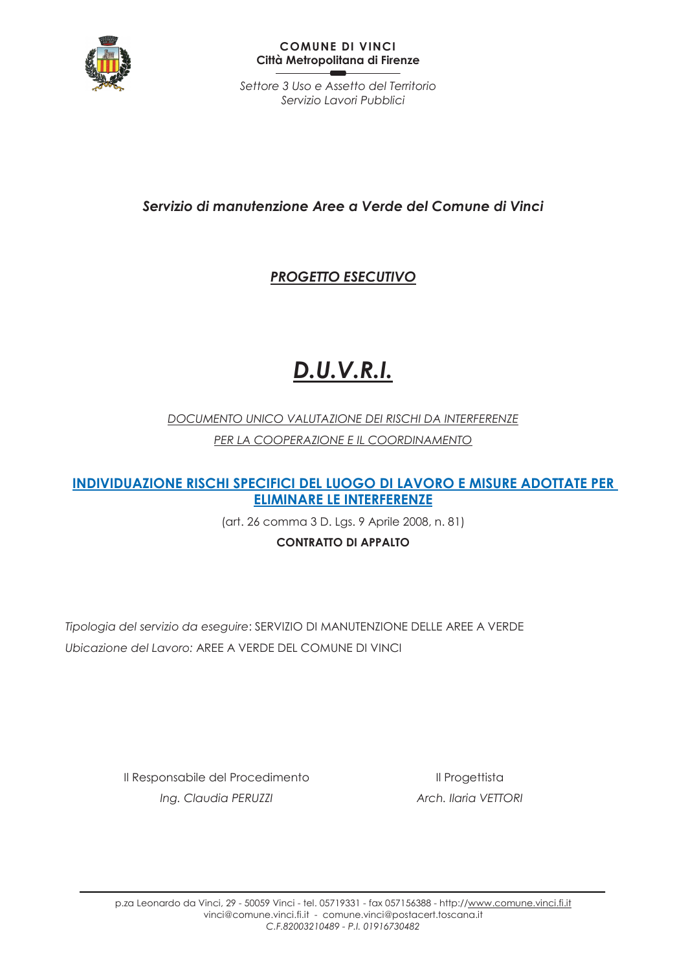

#### **COMUNE DI VINCI** Città Metropolitana di Firenze

Settore 3 Uso e Assetto del Territorio Servizio Lavori Pubblici

# Servizio di manutenzione Aree a Verde del Comune di Vinci

# **PROGETTO ESECUTIVO**

# **D.U.V.R.I.**

DOCUMENTO UNICO VALUTAZIONE DEI RISCHI DA INTERFERENZE PER LA COOPERAZIONE E IL COORDINAMENTO

**INDIVIDUAZIONE RISCHI SPECIFICI DEL LUOGO DI LAVORO E MISURE ADOTTATE PER ELIMINARE LE INTERFERENZE** 

(art. 26 comma 3 D. Lgs. 9 Aprile 2008, n. 81)

**CONTRATTO DI APPALTO** 

Tipologia del servizio da eseguire: SERVIZIO DI MANUTENZIONE DELLE AREE A VERDE Ubicazione del Lavoro: AREE A VERDE DEL COMUNE DI VINCI

> Il Responsabile del Procedimento Ing. Claudia PERUZZI

Il Progettista Arch. Ilaria VETTORI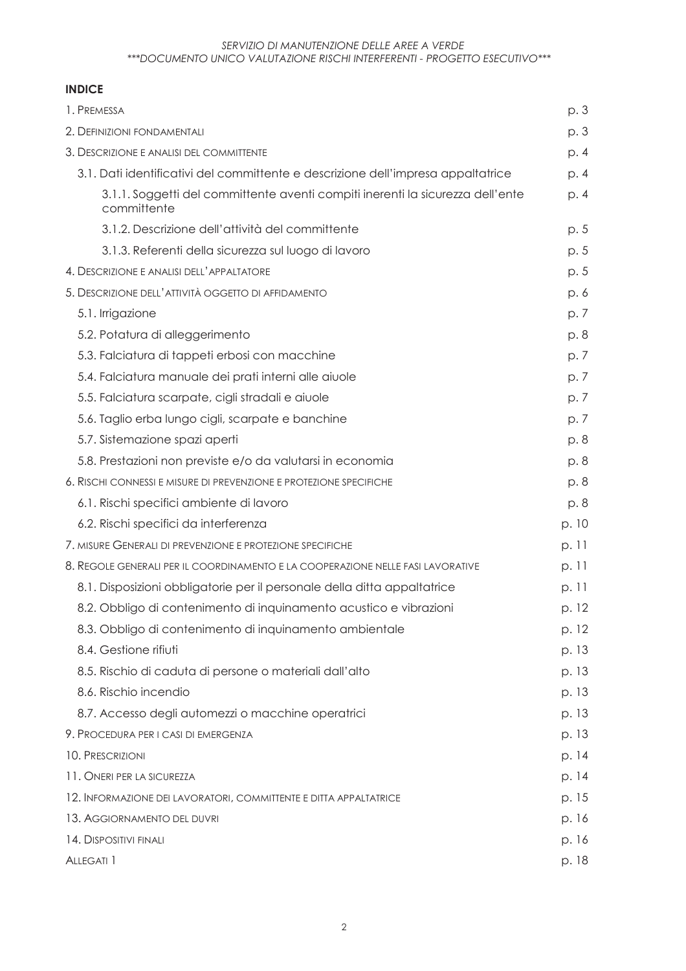### **INDICE**

| 1. PREMESSA                                                                                   | p. 3  |
|-----------------------------------------------------------------------------------------------|-------|
| 2. DEFINIZIONI FONDAMENTALI                                                                   | p. 3  |
| 3. DESCRIZIONE E ANALISI DEL COMMITTENTE                                                      | p. 4  |
| 3.1. Dati identificativi del committente e descrizione dell'impresa appaltatrice              | p. 4  |
| 3.1.1. Soggetti del committente aventi compiti inerenti la sicurezza dell'ente<br>committente | p. 4  |
| 3.1.2. Descrizione dell'attività del committente                                              | p. 5  |
| 3.1.3. Referenti della sicurezza sul luogo di lavoro                                          | p. 5  |
| 4. DESCRIZIONE E ANALISI DELL'APPALTATORE                                                     | p. 5  |
| 5. DESCRIZIONE DELL'ATTIVITÀ OGGETTO DI AFFIDAMENTO                                           | p. 6  |
| 5.1. Irrigazione                                                                              | p. 7  |
| 5.2. Potatura di alleggerimento                                                               | p.8   |
| 5.3. Falciatura di tappeti erbosi con macchine                                                | p. 7  |
| 5.4. Falciatura manuale dei prati interni alle aiuole                                         | p.7   |
| 5.5. Falciatura scarpate, cigli stradali e aiuole                                             | p. 7  |
| 5.6. Taglio erba lungo cigli, scarpate e banchine                                             | p. 7  |
| 5.7. Sistemazione spazi aperti                                                                | p. 8  |
| 5.8. Prestazioni non previste e/o da valutarsi in economia                                    | p. 8  |
| 6. RISCHI CONNESSI E MISURE DI PREVENZIONE E PROTEZIONE SPECIFICHE                            | p. 8  |
| 6.1. Rischi specifici ambiente di lavoro                                                      | p. 8  |
| 6.2. Rischi specifici da interferenza                                                         | p. 10 |
| 7. MISURE GENERALI DI PREVENZIONE E PROTEZIONE SPECIFICHE                                     | p. 11 |
| 8. REGOLE GENERALI PER IL COORDINAMENTO E LA COOPERAZIONE NELLE FASI LAVORATIVE               | p. 11 |
| 8.1. Disposizioni obbligatorie per il personale della ditta appaltatrice                      | p. 11 |
| 8.2. Obbligo di contenimento di inquinamento acustico e vibrazioni                            | p. 12 |
| 8.3. Obbligo di contenimento di inquinamento ambientale                                       | p. 12 |
| 8.4. Gestione rifiuti                                                                         | p. 13 |
| 8.5. Rischio di caduta di persone o materiali dall'alto                                       | p. 13 |
| 8.6. Rischio incendio                                                                         | p. 13 |
| 8.7. Accesso degli automezzi o macchine operatrici                                            | p. 13 |
| 9. PROCEDURA PER I CASI DI EMERGENZA                                                          | p. 13 |
| 10. PRESCRIZIONI                                                                              | p. 14 |
| 11. ONERI PER LA SICUREZZA                                                                    | p. 14 |
| 12. INFORMAZIONE DEI LAVORATORI, COMMITTENTE E DITTA APPALTATRICE                             | p. 15 |
| 13. AGGIORNAMENTO DEL DUVRI                                                                   | p. 16 |
| 14. DISPOSITIVI FINALI                                                                        | p. 16 |
| ALLEGATI 1                                                                                    | p. 18 |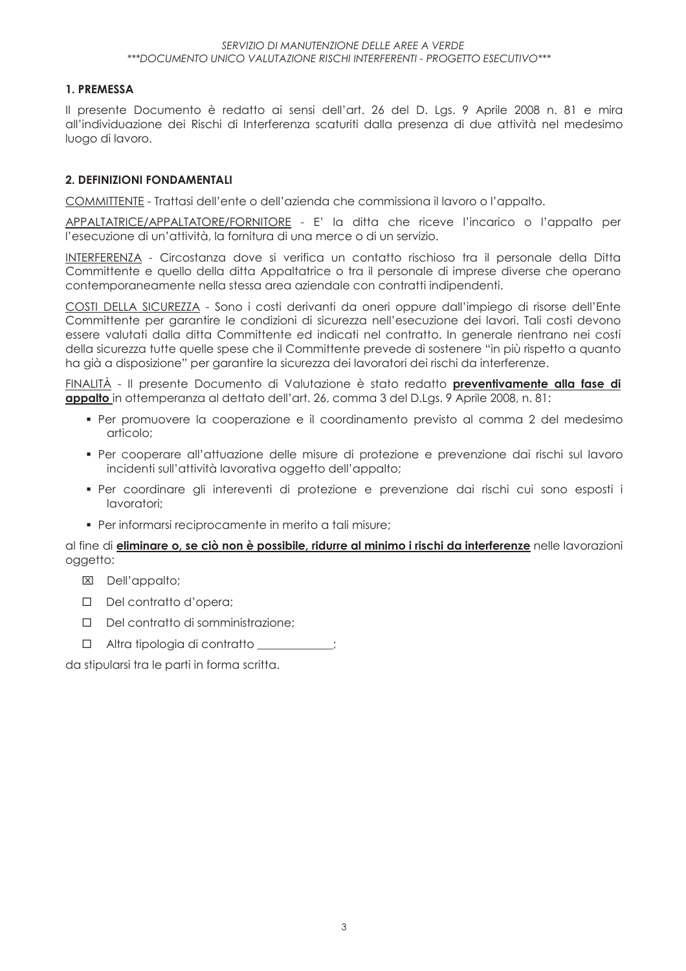#### 1. PREMESSA

Il presente Documento è redatto ai sensi dell'art. 26 del D. Las. 9 Aprile 2008 n. 81 e mira all'individuazione dei Rischi di Interferenza scaturiti dalla presenza di due attività nel medesimo luogo di lavoro.

#### 2. DEFINIZIONI FONDAMENTALI

COMMITTENTE - Trattasi dell'ente o dell'azienda che commissiona il lavoro o l'appalto.

APPALTATRICE/APPALTATORE/FORNITORE - E' la ditta che riceve l'incarico o l'appalto per l'esecuzione di un'attività, la fornitura di una merce o di un servizio.

INTERFERENZA - Circostanza dove si verifica un contatto rischioso tra il personale della Ditta Committente e quello della ditta Appaltatrice o tra il personale di imprese diverse che operano contemporaneamente nella stessa area aziendale con contratti indipendenti.

COSTI DELLA SICUREZZA - Sono i costi derivanti da oneri oppure dall'impiego di risorse dell'Ente Committente per garantire le condizioni di sicurezza nell'esecuzione dei lavori. Tali costi devono essere valutati dalla ditta Committente ed indicati nel contratto. In generale rientrano nei costi della sicurezza tutte quelle spese che il Committente prevede di sostenere "in più rispetto a quanto ha già a disposizione" per garantire la sicurezza dei lavoratori dei rischi da interferenze.

FINALITÀ - Il presente Documento di Valutazione è stato redatto preventivamente alla fase di appalto in ottemperanza al dettato dell'art. 26, comma 3 del D.Las. 9 Aprile 2008, n. 81:

- · Per promuovere la cooperazione e il coordinamento previsto al comma 2 del medesimo articolo:
- Per cooperare all'attuazione delle misure di protezione e prevenzione dai rischi sul lavoro incidenti sull'attività lavorativa oggetto dell'appalto;
- · Per coordinare gli intereventi di protezione e prevenzione dai rischi cui sono esposti i lavoratori:
- · Per informarsi reciprocamente in merito a tali misure:

al fine di *eliminare o, se ciò non è possibile, ridurre al minimo i rischi da interferenze* nelle lavorazioni oggetto:

- X Dell'appalto;
- $\Box$  Del contratto d'opera:
- $\Box$  Del contratto di somministrazione:
- $\Box$  Altra tipologia di contratto  $\Box$

da stipularsi tra le parti in forma scritta.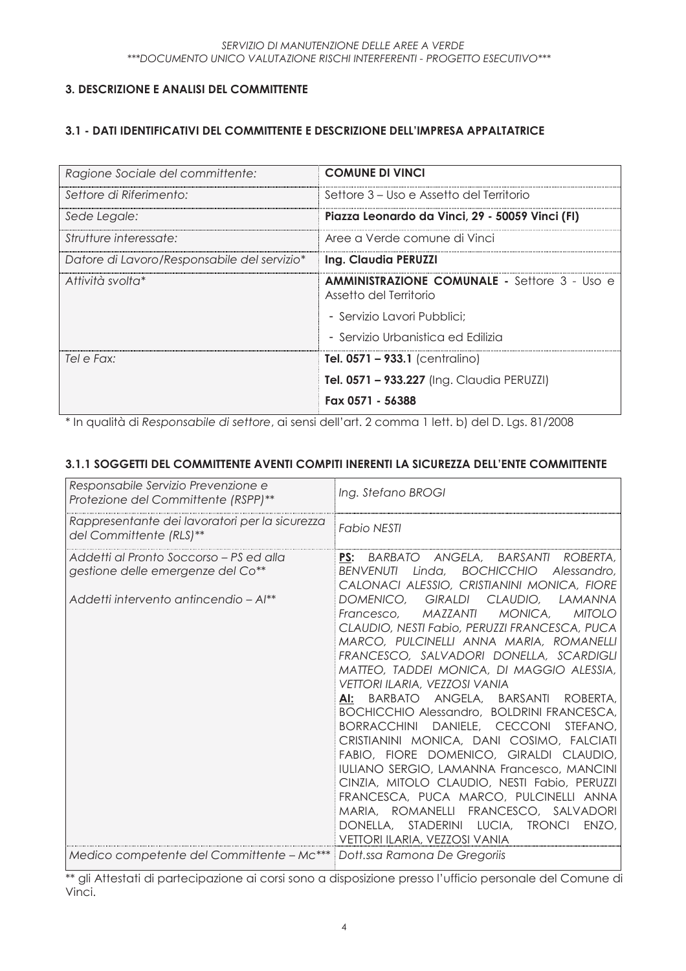## 3. DESCRIZIONE E ANALISI DEL COMMITTENTE

#### 3.1 - DATI IDENTIFICATIVI DEL COMMITTENTE E DESCRIZIONE DELL'IMPRESA APPALTATRICE

| Ragione Sociale del committente:            | <b>COMUNE DI VINCI</b>                                                        |
|---------------------------------------------|-------------------------------------------------------------------------------|
| Settore di Riferimento:                     | Settore 3 – Uso e Assetto del Territorio                                      |
| Sede Legale:                                | Piazza Leonardo da Vinci, 29 - 50059 Vinci (FI)                               |
| Strutture interessate:                      | Aree a Verde comune di Vinci                                                  |
| Datore di Lavoro/Responsabile del servizio* | Ing. Claudia PERUZZI                                                          |
| Attività svolta*                            | <b>AMMINISTRAZIONE COMUNALE - Settore 3 - Uso e</b><br>Assetto del Territorio |
|                                             | - Servizio Lavori Pubblici:                                                   |
|                                             | - Servizio Urbanistica ed Edilizia                                            |
| Tel e Fax:                                  | <b>Tel. 0571 – 933.1</b> (centralino)                                         |
|                                             | <b>Tel. 0571 – 933.227</b> (Ing. Claudia PERUZZI)                             |
|                                             | Fax 0571 - 56388                                                              |

\* In qualità di Responsabile di settore, ai sensi dell'art. 2 comma 1 lett. b) del D. Las. 81/2008

#### 3.1.1 SOGGETTI DEL COMMITTENTE AVENTI COMPITI INERENTI LA SICUREZZA DELL'ENTE COMMITTENTE

| Responsabile Servizio Prevenzione e<br>Protezione del Committente (RSPP)**                                            | Ing. Stefano BROGI                                                                                                                                                                                                                                                                                                                                                                                                                                                                                                                                                                                                                                                                                                                                                                                                                                                                                                                                                                      |
|-----------------------------------------------------------------------------------------------------------------------|-----------------------------------------------------------------------------------------------------------------------------------------------------------------------------------------------------------------------------------------------------------------------------------------------------------------------------------------------------------------------------------------------------------------------------------------------------------------------------------------------------------------------------------------------------------------------------------------------------------------------------------------------------------------------------------------------------------------------------------------------------------------------------------------------------------------------------------------------------------------------------------------------------------------------------------------------------------------------------------------|
| Rappresentante dei lavoratori per la sicurezza<br>del Committente (RLS)**                                             | <b>Fabio NESTI</b>                                                                                                                                                                                                                                                                                                                                                                                                                                                                                                                                                                                                                                                                                                                                                                                                                                                                                                                                                                      |
| Addetti al Pronto Soccorso – PS ed alla<br>gestione delle emergenze del Co**<br>Addetti intervento antincendio – Al** | PS: BARBATO ANGELA, BARSANTI<br>ROBERTA,<br>Linda, BOCHICCHIO<br><b>BENVENUTI</b><br>Alessandro,<br>CALONACI ALESSIO, CRISTIANINI MONICA, FIORE<br>DOMENICO, GIRALDI<br>CLAUDIO.<br>LAMANNA<br>MAZZANTI<br><b>MITOLO</b><br>MONICA,<br>Francesco.<br>CLAUDIO, NESTI Fabio, PERUZZI FRANCESCA, PUCA<br>MARCO, PULCINELLI ANNA MARIA, ROMANELLI<br>FRANCESCO, SALVADORI DONELLA, SCARDIGLI<br>MATTEO, TADDEI MONICA, DI MAGGIO ALESSIA,<br><b>VETTORI ILARIA, VEZZOSI VANIA</b><br>ANGELA, BARSANTI ROBERTA,<br>BARBATO<br>Al:<br>BOCHICCHIO Alessandro, BOLDRINI FRANCESCA,<br>BORRACCHINI DANIELE, CECCONI<br>STEFANO,<br>CRISTIANINI MONICA, DANI COSIMO, FALCIATI<br>FABIO, FIORE DOMENICO, GIRALDI CLAUDIO,<br>IULIANO SERGIO, LAMANNA Francesco, MANCINI<br>CINZIA, MITOLO CLAUDIO, NESTI Fabio, PERUZZI<br>FRANCESCA, PUCA MARCO, PULCINELLI ANNA<br>MARIA, ROMANELLI FRANCESCO, SALVADORI<br>DONELLA, STADERINI LUCIA,<br><b>TRONCI</b><br>ENZO,<br>VETTORI ILARIA, VEZZOSI VANIA |
| Medico competente del Committente – Mc***                                                                             | Dott.ssa Ramona De Gregoriis                                                                                                                                                                                                                                                                                                                                                                                                                                                                                                                                                                                                                                                                                                                                                                                                                                                                                                                                                            |

«\* gli Attestati di partecipazione ai corsi sono a disposizione presso l'ufficio personale del Comune di Vinci.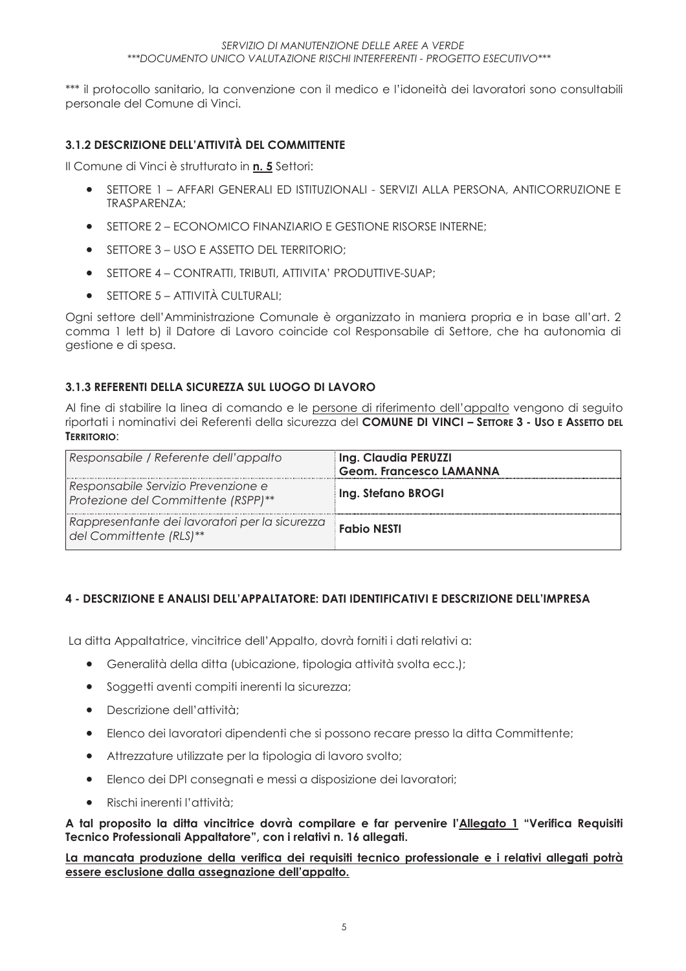\*\*\* il protocollo sanitario, la convenzione con il medico e l'idoneità dei lavoratori sono consultabili personale del Comune di Vinci.

#### 3.1.2 DESCRIZIONE DELL'ATTIVITÀ DEL COMMITTENTE

Il Comune di Vinci è strutturato in n. 5 Settori:

- SETTORE 1 AFFARI GENERALI ED ISTITUZIONALI SERVIZI ALLA PERSONA, ANTICORRUZIONE E  $\bullet$ TRASPAREN7A:
- SETTORE 2 ECONOMICO FINANZIARIO E GESTIONE RISORSE INTERNE:
- $\bullet$  SFITORE 3 USO E ASSETIO DEL TERRITORIO:
- SETTORE 4 CONTRATTI, TRIBUTI, ATTIVITA' PRODUTTIVE-SUAP:
- $\bullet$  SETTORE 5 ATTIVITÀ CULTURALI:

Ogni settore dell'Amministrazione Comunale è organizzato in maniera propria e in base all'art. 2 comma 1 lett b) il Datore di Lavoro coincide col Responsabile di Settore, che ha autonomia di gestione e di spesa.

#### 3.1.3 REFERENTI DELLA SICUREZZA SUL LUOGO DI LAVORO

Al fine di stabilire la linea di comando e le persone di riferimento dell'appalto vengono di seguito riportati i nominativi dei Referenti della sicurezza del COMUNE DI VINCI - SETTORE 3 - USO E ASSETTO DEL TERRITORIO:

| Responsabile / Referente dell'appalto                                      | Ing. Claudia PERUZZI<br><b>Geom. Francesco LAMANNA</b> |
|----------------------------------------------------------------------------|--------------------------------------------------------|
| Responsabile Servizio Prevenzione e<br>Protezione del Committente (RSPP)** | Ing. Stefano BROGI                                     |
| Rappresentante dei lavoratori per la sicurezza<br>del Committente (RLS)**  | <b>Fabio NESTI</b>                                     |

### 4 - DESCRIZIONE E ANALISI DELL'APPALTATORE: DATI IDENTIFICATIVI E DESCRIZIONE DELL'IMPRESA

La ditta Appaltatrice, vincitrice dell'Appalto, dovrà forniti i dati relativi a:

- Generalità della ditta (ubicazione, tipologia attività svolta ecc.);
- Soggetti aventi compiti inerenti la sicurezza:
- Descrizione dell'attività;
- Elenco dei lavoratori dipendenti che si possono recare presso la ditta Committente;  $\bullet$
- Attrezzature utilizzate per la tipologia di lavoro svolto;  $\bullet$
- Elenco dei DPI consegnati e messi a disposizione dei lavoratori:  $\bullet$
- Rischi inerenti l'attività:  $\bullet$

A tal proposito la ditta vincitrice dovrà compilare e far pervenire l'Allegato 1 "Verifica Requisiti Tecnico Professionali Appaltatore", con i relativi n. 16 allegati.

#### La mancata produzione della verifica dei requisiti tecnico professionale e i relativi allegati potrà essere esclusione dalla assegnazione dell'appalto.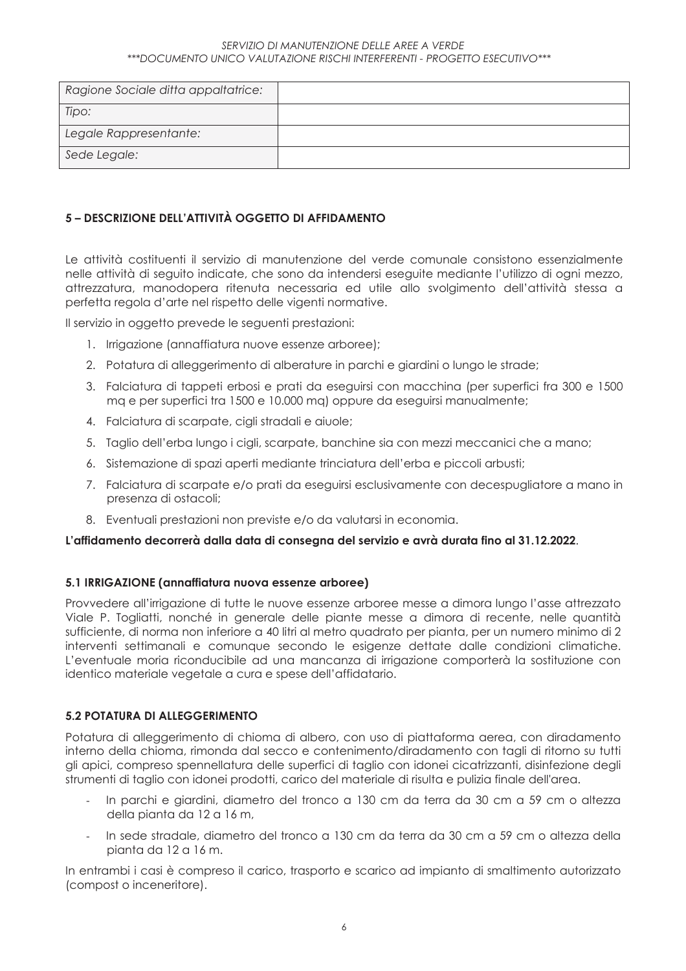| Ragione Sociale ditta appaltatrice: |  |
|-------------------------------------|--|
| Tipo:                               |  |
| Legale Rappresentante:              |  |
| Sede Legale:                        |  |

#### 5 – DESCRIZIONE DELL'ATTIVITÀ OGGETTO DI AFFIDAMENTO

Le attività costituenti il servizio di manutenzione del verde comunale consistono essenzialmente nelle attività di seguito indicate, che sono da intendersi eseguite mediante l'utilizzo di ogni mezzo, attrezzatura, manodopera ritenuta necessaria ed utile allo svolgimento dell'attività stessa a perfetta regola d'arte nel rispetto delle vigenti normative.

Il servizio in oggetto prevede le seguenti prestazioni:

- 1. Irrigazione (annaffiatura nuove essenze arboree);
- 2. Potatura di alleggerimento di alberature in parchi e giardini o lungo le strade:
- 3. Falciatura di tappeti erbosi e prati da eseguirsi con macchina (per superfici fra 300 e 1500 ma e per superfici tra 1500 e 10.000 ma) oppure da esequirsi manualmente;
- 4. Falciatura di scarpate, cigli stradali e aiuole;
- 5. Taglio dell'erba lungo i cigli, scarpate, banchine sia con mezzi meccanici che a mano;
- 6. Sistemazione di spazi aperti mediante trinciatura dell'erba e piccoli arbusti;
- 7. Falciatura di scarpate e/o prati da eseguirsi esclusivamente con decespugliatore a mano in presenza di ostacoli:
- 8. Eventuali prestazioni non previste e/o da valutarsi in economia.

#### L'affidamento decorrerà dalla data di conseana del servizio e avrà durata fino al 31.12.2022.

#### 5.1 IRRIGAZIONE (annaffiatura nuova essenze arboree)

Provvedere all'irrigazione di tutte le nuove essenze arboree messe a dimora lungo l'asse attrezzato Viale P. Toaliatti, nonché in generale delle piante messe a dimora di recente, nelle quantità sufficiente, di norma non inferiore a 40 litri al metro quadrato per pianta, per un numero minimo di 2 interventi settimanali e comunque secondo le esigenze dettate dalle condizioni climatiche. L'eventuale moria riconducibile ad una mancanza di irrigazione comporterà la sostituzione con identico materiale vegetale a cura e spese dell'affidatario.

#### 5.2 POTATURA DI ALLEGGERIMENTO

Potatura di alleggerimento di chioma di albero, con uso di piattaforma aerea, con diradamento interno della chioma, rimonda dal secco e contenimento/diradamento con tagli di ritorno su tutti gli apici, compreso spennellatura delle superfici di taglio con idonei cicatrizzanti, disinfezione degli strumenti di taglio con idonei prodotti, carico del materiale di risulta e pulizia finale dell'area.

- In parchi e giardini, diametro del tronco a 130 cm da terra da 30 cm a 59 cm o altezza della pianta da 12 a 16 m.
- In sede stradale, diametro del tronco a 130 cm da terra da 30 cm a 59 cm o altezza della pianta da 12 a 16 m.

In entrambi i casi è compreso il carico, trasporto e scarico ad impianto di smaltimento autorizzato (compost o inceneritore).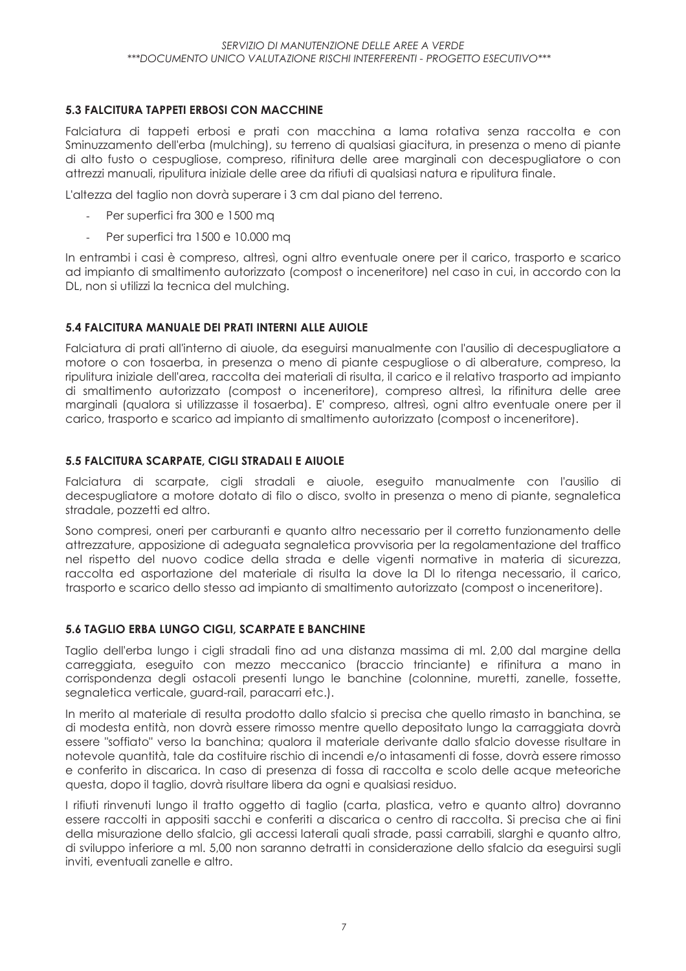#### **5.3 FALCITURA TAPPETI ERBOSI CON MACCHINE**

Falciatura di tappeti erbosi e prati con macchina a lama rotativa senza raccolta e con Sminuzzamento dell'erba (mulching), su terreno di qualsiasi giacitura, in presenza o meno di piante di alto fusto o cespugliose, compreso, rifinitura delle aree marginali con decespugliatore o con attrezzi manuali, ripulitura iniziale delle aree da rifiuti di qualsiasi natura e ripulitura finale.

L'altezza del taglio non dovrà superare i 3 cm dal piano del terreno.

- Per superfici fra 300 e 1500 ma
- Per superfici tra 1500 e 10.000 mq

In entrambi i casi è compreso, altresì, ogni altro eventuale onere per il carico, trasporto e scarico ad impianto di smaltimento autorizzato (compost o inceneritore) nel caso in cui, in accordo con la DL, non si utilizzi la tecnica del mulching.

#### 5.4 FALCITURA MANUALE DEI PRATI INTERNI ALLE AUIOLE

Falciatura di prati all'interno di giuole, da eseguirsi manualmente con l'ausilio di decespugliatore a motore o con tosaerba, in presenza o meno di piante cespugliose o di alberature, compreso, la ripulitura iniziale dell'area, raccolta dei materiali di risulta, il carico e il relativo trasporto ad impianto di smaltimento autorizzato (compost o inceneritore), compreso altresì, la rifinitura delle aree marginali (qualora si utilizzasse il tosaerba). E' compreso, altresì, ogni altro eventuale onere per il carico, trasporto e scarico ad impianto di smaltimento autorizzato (compost o inceneritore).

#### 5.5 FALCITURA SCARPATE, CIGLI STRADALI E AIUOLE

Falciatura di scarpate, cigli stradali e giuole, eseguito manualmente con l'ausilio di decespugliatore a motore dotato di filo o disco, svolto in presenza o meno di piante, segnaletica stradale, pozzetti ed altro.

Sono compresi, oneri per carburanti e quanto altro necessario per il corretto funzionamento delle attrezzature, apposizione di adeguata segnaletica provvisoria per la regolamentazione del traffico nel rispetto del nuovo codice della strada e delle vigenti normative in materia di sicurezza, raccolta ed asportazione del materiale di risulta la dove la DI lo ritenga necessario, il carico, trasporto e scarico dello stesso ad impianto di smaltimento autorizzato (compost o inceneritore).

#### 5.6 TAGLIO ERBA LUNGO CIGLI, SCARPATE E BANCHINE

Taglio dell'erba lungo i cigli stradali fino ad una distanza massima di ml. 2,00 dal margine della carreagiata, eseguito con mezzo meccanico (braccio trinciante) e rifinitura a mano in corrispondenza degli ostacoli presenti lungo le banchine (colonnine, muretti, zanelle, fossette, segnaletica verticale, guard-rail, paracarri etc.).

In merito al materiale di resulta prodotto dallo sfalcio si precisa che auello rimasto in banchina, se di modesta entità, non dovrà essere rimosso mentre quello depositato lungo la carraggiata dovrà essere "soffiato" verso la banchina; qualora il materiale derivante dallo sfalcio dovesse risultare in notevole quantità, tale da costituire rischio di incendi e/o intasamenti di fosse, dovrà essere rimosso e conferito in discarica. In caso di presenza di fossa di raccolta e scolo delle acque meteoriche questa, dopo il taglio, dovrà risultare libera da ogni e qualsiasi residuo.

I rifiuti rinvenuti lungo il tratto oggetto di taglio (carta, plastica, vetro e guanto altro) dovranno essere raccolti in appositi sacchi e conferiti a discarica o centro di raccolta. Si precisa che ai fini della misurazione dello sfalcio, gli accessi laterali quali strade, passi carrabili, slarghi e quanto altro, di sviluppo inferiore a ml. 5,00 non saranno detratti in considerazione dello sfalcio da esequirsi suali inviti, eventuali zanelle e altro.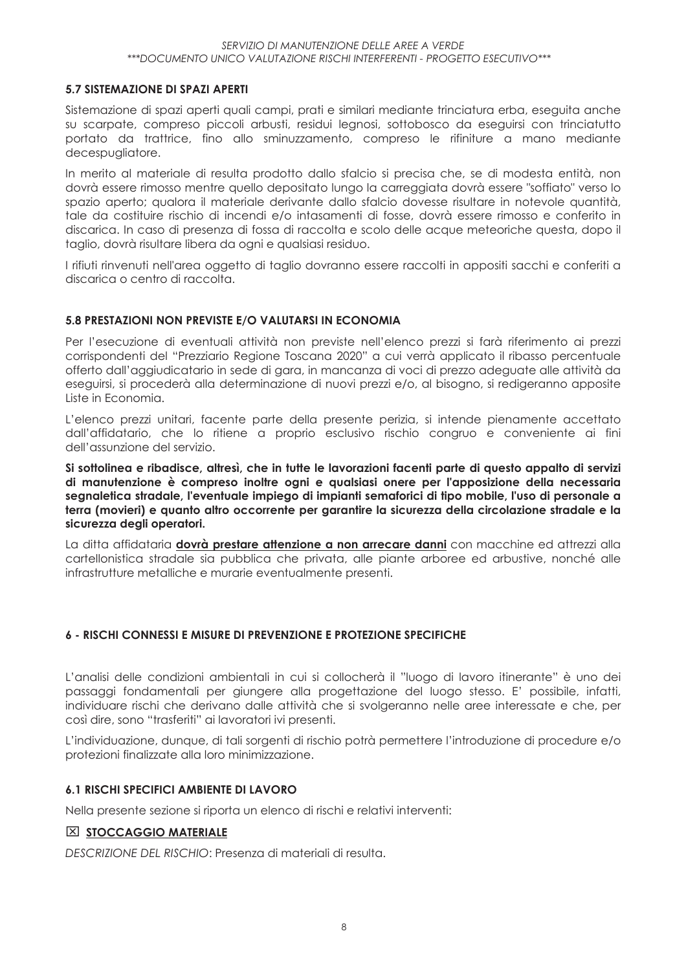#### 5.7 SISTEMAZIONE DI SPAZI APERTI

Sistemazione di spazi aperti quali campi, prati e similari mediante trinciatura erba, eseguita anche su scarpate, compreso piccoli arbusti, residui legnosi, sottobosco da eseguirsi con trinciatutto portato da trattrice, fino allo sminuzzamento, compreso le rifiniture a mano mediante decespugliatore.

In merito al materiale di resulta prodotto dallo sfalcio si precisa che, se di modesta entità, non dovrà essere rimosso mentre quello depositato lungo la carreggiata dovrà essere "soffiato" verso lo spazio aperto; qualora il materiale derivante dallo sfalcio dovesse risultare in notevole quantità, tale da costituire rischio di incendi e/o intasamenti di fosse, dovrà essere rimosso e conferito in discarica. In caso di presenza di fossa di raccolta e scolo delle acque meteoriche questa, dopo il taglio, dovrà risultare libera da ogni e qualsiasi residuo.

I rifiuti rinvenuti nell'area oggetto di taglio dovranno essere raccolti in appositi sacchi e conferiti a discarica o centro di raccolta

#### 5.8 PRESTAZIONI NON PREVISTE E/O VALUTARSI IN ECONOMIA

Per l'esecuzione di eventuali attività non previste nell'elenco prezzi si farà riferimento ai prezzi corrispondenti del "Prezziario Regione Toscana 2020" a cui verrà applicato il ribasso percentuale offerto dall'aggiudicatario in sede di gara, in mancanza di voci di prezzo adeguate alle attività da eseguirsi, si procederà alla determinazione di nuovi prezzi e/o, al bisogno, si redigeranno apposite Liste in Economia.

L'elenco prezzi unitari, facente parte della presente perizia, si intende pienamente accettato dall'affidatario, che lo ritiene a proprio esclusivo rischio congruo e conveniente ai fini dell'assunzione del servizio.

Si sottolinea e ribadisce, altresì, che in tutte le lavorazioni facenti parte di questo appalto di servizi di manutenzione è compreso inoltre oani e aualsiasi onere per l'apposizione della necessaria segnaletica stradale. l'eventuale impiego di impianti semaforici di tipo mobile. l'uso di personale a terra (movieri) e quanto altro occorrente per garantire la sicurezza della circolazione stradale e la sicurezza degli operatori.

La ditta affidataria dovrà prestare attenzione a non arrecare danni con macchine ed attrezzi alla cartellonistica stradale sia pubblica che privata, alle piante arboree ed arbustive, nonché alle infrastrutture metalliche e murarie eventualmente presenti.

#### **6 - RISCHI CONNESSI E MISURE DI PREVENZIONE E PROTEZIONE SPECIFICHE**

L'analisi delle condizioni ambientali in cui si collocherà il "luogo di lavoro itinerante" è uno dei passaggi fondamentali per giungere alla progettazione del luogo stesso. E' possibile, infatti, individuare rischi che derivano dalle attività che si svolgeranno nelle aree interessate e che, per così dire, sono "trasferiti" ai lavoratori ivi presenti.

L'individuazione, dunque, di tali sorgenti di rischio potrà permettere l'introduzione di procedure e/o protezioni finalizzate alla loro minimizzazione.

#### **6.1 RISCHI SPECIFICI AMBIENTE DI LAVORO**

Nella presente sezione si riporta un elenco di rischi e relativi interventi:

#### $X$  STOCCAGGIO MATERIALE

DESCRIZIONE DEL RISCHIO: Presenza di materiali di resulta.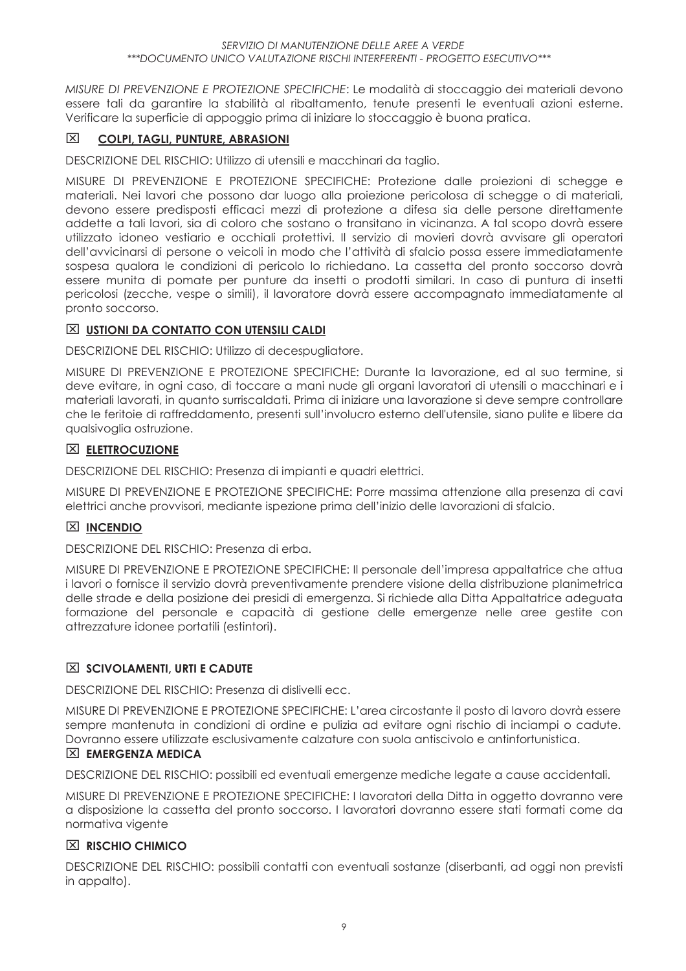MISURE DI PREVENZIONE E PROTEZIONE SPECIFICHE: Le modalità di stoccaggio dei materiali devono essere tali da garantire la stabilità al ribaltamento, tenute presenti le eventuali azioni esterne. Verificare la superficie di appoggio prima di iniziare lo stoccaggio è buona pratica.

#### 冈 **COLPI, TAGLI, PUNTURE, ABRASIONI**

DESCRIZIONE DEL RISCHIO: Utilizzo di utensili e macchinari da taglio.

MISURE DI PREVENZIONE E PROTEZIONE SPECIFICHE: Protezione dalle projezioni di schegge e materiali. Nei lavori che possono dar luogo alla proiezione pericolosa di schegge o di materiali, devono essere predisposti efficaci mezzi di protezione a difesa sia delle persone direttamente addette a tali lavori, sia di coloro che sostano o transitano in vicinanza. A tal scopo dovrà essere utilizzato idoneo vestiario e occhiali protettivi. Il servizio di movieri dovrà avvisare gli operatori dell'avvicinarsi di persone o veicoli in modo che l'attività di sfalcio possa essere immediatamente sospesa qualora le condizioni di pericolo lo richiedano. La cassetta del pronto soccorso dovrà essere munita di pomate per punture da insetti o prodotti similari. In caso di puntura di insetti pericolosi (zecche, vespe o simili), il lavoratore dovrà essere accompagnato immediatamente al pronto soccorso.

#### **X USTIONI DA CONTATTO CON UTENSILI CALDI**

DESCRIZIONE DEL RISCHIO: Utilizzo di decespugliatore.

MISURE DI PREVENZIONE E PROTEZIONE SPECIFICHE: Durante la lavorazione, ed al suo termine, si deve evitare, in oani caso, di toccare a mani nude ali organi lavoratori di utensili o macchinari e i materiali lavorati, in quanto surriscaldati. Prima di iniziare una lavorazione si deve sempre controllare che le feritoie di raffreddamento, presenti sull'involucro esterno dell'utensile, siano pulite e libere da aualsivoalia ostruzione.

#### **ELETTROCUZIONE**

DESCRIZIONE DEL RISCHIO: Presenza di impianti e quadri elettrici.

MISURE DI PREVENZIONE E PROTEZIONE SPECIFICHE: Porre massima attenzione alla presenza di cavi elettrici anche provvisori, mediante ispezione prima dell'inizio delle lavorazioni di sfalcio.

#### $\Sigma$  INCENDIO

DESCRIZIONE DEL RISCHIO: Presenza di erba.

MISURE DI PREVENZIONE E PROTEZIONE SPECIFICHE: Il personale dell'impresa appaltatrice che attua i lavori o fornisce il servizio dovrà preventivamente prendere visione della distribuzione planimetrica delle strade e della posizione dei presidi di emergenza. Si richiede alla Ditta Appaltatrice adequata formazione del personale e capacità di gestione delle emergenze nelle aree gestite con attrezzature idonee portatili (estintori).

#### $\overline{\mathbb{X}}$  SCIVOLAMENTI, URTI E CADUTE

DESCRIZIONE DEL RISCHIO: Presenza di dislivelli ecc.

MISURE DI PREVENZIONE E PROTEZIONE SPECIFICHE: L'area circostante il posto di lavoro dovrà essere sempre mantenuta in condizioni di ordine e pulizia ad evitare ogni rischio di inciampi o cadute. Dovranno essere utilizzate esclusivamente calzature con suola antiscivolo e antinfortunistica.

#### $\boxtimes$  EMERGENZA MEDICA

DESCRIZIONE DEL RISCHIO: possibili ed eventuali emergenze mediche legate a cause accidentali.

MISURE DI PREVENZIONE E PROTEZIONE SPECIFICHE: I lavoratori della Ditta in oggetto dovranno vere a disposizione la cassetta del pronto soccorso. I lavoratori dovranno essere stati formati come da normativa vigente

#### $X$  RISCHIO CHIMICO

DESCRIZIONE DEL RISCHIO: possibili contatti con eventuali sostanze (diserbanti, ad oggi non previsti in appalto).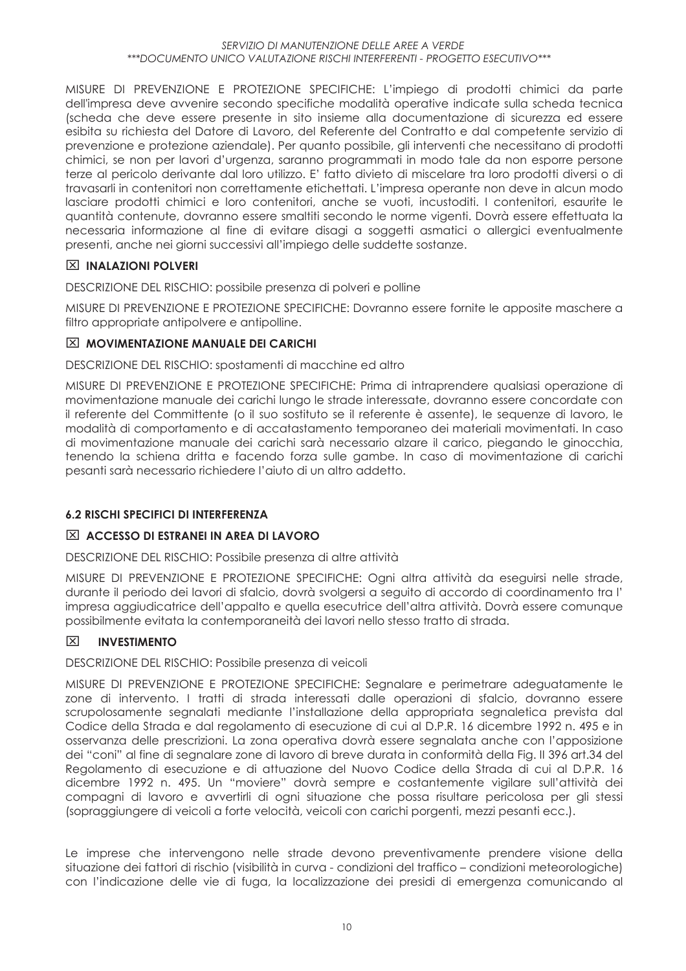MISURE DI PREVENZIONE E PROTEZIONE SPECIFICHE: L'impiego di prodotti chimici da parte dell'impresa deve avvenire secondo specifiche modalità operative indicate sulla scheda tecnica (scheda che deve essere presente in sito insieme alla documentazione di sicurezza ed essere esibita su richiesta del Datore di Lavoro, del Referente del Contratto e dal competente servizio di prevenzione e protezione aziendale). Per quanto possibile, gli interventi che necessitano di prodotti chimici, se non per lavori d'urgenza, saranno programmati in modo tale da non esporre persone terze al pericolo derivante dal loro utilizzo. E' fatto divieto di miscelare tra loro prodotti diversi o di travasarli in contenitori non correttamente etichettati. L'impresa operante non deve in alcun modo lasciare prodotti chimici e loro contenitori, anche se vuoti, incustoditi. I contenitori, esqurite le quantità contenute, dovranno essere smaltiti secondo le norme vigenti. Dovrà essere effettuata la necessaria informazione al fine di evitare disagi a soggetti asmatici o allergici eventualmente presenti, anche nei giorni successivi all'impiego delle suddette sostanze.

#### $\boxtimes$  INALAZIONI POLVERI

DESCRIZIONE DEL RISCHIO: possibile presenza di polveri e polline

MISURE DI PREVENZIONE E PROTEZIONE SPECIFICHE: Dovranno essere fornite le apposite maschere a filtro appropriate antipolvere e antipolline.

#### $\boxtimes$  MOVIMENTAZIONE MANUALE DEI CARICHI

DESCRIZIONE DEL RISCHIO: spostamenti di macchine ed altro

MISURE DI PREVENZIONE E PROTEZIONE SPECIFICHE: Prima di intraprendere aualsiasi operazione di movimentazione manuale dei carichi lungo le strade interessate, dovranno essere concordate con il referente del Committente (o il suo sostituto se il referente è assente), le sequenze di lavoro, le modalità di comportamento e di accatastamento temporaneo dei materiali movimentati. In caso di movimentazione manuale dei carichi sarà necessario alzare il carico, piegando le ginocchia, tenendo la schiena dritta e facendo forza sulle gambe. In caso di movimentazione di carichi pesanti sarà necessario richiedere l'aiuto di un altro addetto.

#### **6.2 RISCHI SPECIFICI DI INTERFERENZA**

#### $\boxtimes$  ACCESSO DI ESTRANEI IN AREA DI LAVORO

DESCRIZIONE DEL RISCHIO: Possibile presenza di altre attività

MISURE DI PREVENZIONE E PROTEZIONE SPECIFICHE: Ogni altra attività da eseguirsi nelle strade, durante il periodo dei lavori di sfalcio, dovrà svolgersi a seguito di accordo di coordinamento tra l' impresa aggiudicatrice dell'appalto e quella esecutrice dell'altra attività. Dovrà essere comunque possibilmente evitata la contemporaneità dei lavori nello stesso tratto di strada.

#### 冈 **INVESTIMENTO**

DESCRIZIONE DEL RISCHIO: Possibile presenza di veicoli

MISURE DI PREVENZIONE E PROTEZIONE SPECIFICHE: Segnalare e perimetrare adeguatamente le zone di intervento. I tratti di strada interessati dalle operazioni di sfalcio, dovranno essere scrupolosamente segnalati mediante l'installazione della appropriata segnaletica prevista dal Codice della Strada e dal regolamento di esecuzione di cui al D.P.R. 16 dicembre 1992 n. 495 e in osservanza delle prescrizioni. La zona operativa dovrà essere seanalata anche con l'apposizione dei "coni" al fine di segnalare zone di lavoro di breve durata in conformità della Fig. Il 396 art.34 del Regolamento di esecuzione e di attuazione del Nuovo Codice della Strada di cui al D.P.R. 16 dicembre 1992 n. 495. Un "moviere" dovrà sempre e costantemente vigilare sull'attività dei compagni di lavoro e avvertirli di ogni situazione che possa risultare pericolosa per gli stessi (sopraggiungere di veicoli a forte velocità, veicoli con carichi porgenti, mezzi pesanti ecc.).

Le imprese che intervengono nelle strade devono preventivamente prendere visione della situazione dei fattori di rischio (visibilità in curva - condizioni del traffico – condizioni meteorologiche) con l'indicazione delle vie di fuga, la localizzazione dei presidi di emergenza comunicando al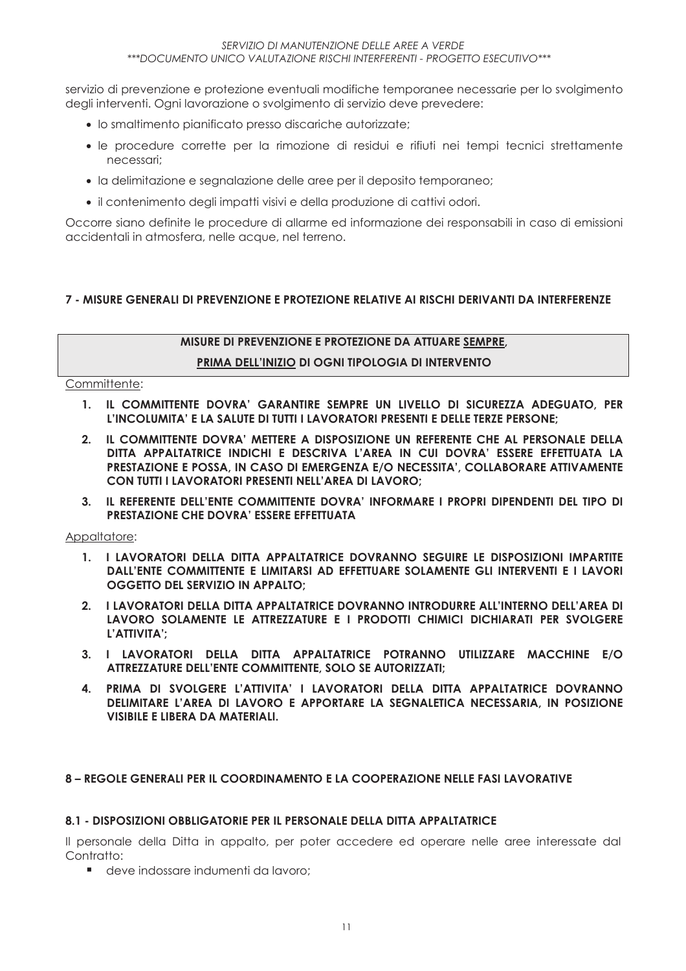servizio di prevenzione e protezione eventuali modifiche temporanee necessarie per lo svolgimento degli interventi. Ogni lavorazione o svolgimento di servizio deve prevedere:

- · lo smaltimento pianificato presso discariche autorizzate;
- · le procedure corrette per la rimozione di residui e rifiuti nei tempi tecnici strettamente necessari:
- · la delimitazione e segnalazione delle aree per il deposito temporaneo;
- · il contenimento degli impatti visivi e della produzione di cattivi odori.

Occorre siano definite le procedure di allarme ed informazione dei responsabili in caso di emissioni accidentali in atmosfera, nelle acque, nel terreno.

#### 7 - MISURE GENERALI DI PREVENZIONE E PROTEZIONE REI ATIVE AI RISCHI DERIVANTI DA INTERFERENZE

## MISURE DI PREVENZIONE E PROTEZIONE DA ATTUARE SEMPRE,

#### PRIMA DELL'INIZIO DI OGNI TIPOLOGIA DI INTERVENTO

Committente:

- 1. IL COMMITTENTE DOVRA' GARANTIRE SEMPRE UN LIVELLO DI SICUREZZA ADEGUATO. PER L'INCOLUMITA' E LA SALUTE DI TUTTI I LAVORATORI PRESENTI E DELLE TERZE PERSONE;
- IL COMMITTENTE DOVRA' METTERE A DISPOSIZIONE UN REFERENTE CHE AL PERSONALE DELLA  $2<sub>1</sub>$ DITTA APPALTATRICE INDICHI E DESCRIVA L'AREA IN CUI DOVRA' ESSERE EFFETTUATA LA PRESTAZIONE E POSSA, IN CASO DI EMERGENZA E/O NECESSITA', COLLABORARE ATTIVAMENTE CON TUTTI I LAVORATORI PRESENTI NELL'AREA DI LAVORO;
- 3. IL REFERENTE DELL'ENTE COMMITTENTE DOVRA' INFORMARE I PROPRI DIPENDENTI DEL TIPO DI PRESTAZIONE CHE DOVRA' ESSERE EFFETTUATA

Appaltatore:

- 1. I LAVORATORI DELLA DITTA APPALTATRICE DOVRANNO SEGUIRE LE DISPOSIZIONI IMPARTITE DALL'ENTE COMMITTENTE E LIMITARSI AD EFFETTUARE SOLAMENTE GLI INTERVENTI E I LAVORI OGGETTO DEL SERVIZIO IN APPALTO:
- 2. I LAVORATORI DELLA DITTA APPALTATRICE DOVRANNO INTRODURRE ALL'INTERNO DELL'AREA DI LAVORO SOLAMENTE LE ATTREZZATURE E I PRODOTTI CHIMICI DICHIARATI PER SVOLGERE L'ATTIVITA':
- 3. I LAVORATORI DELLA DITTA APPALTATRICE POTRANNO UTILIZZARE MACCHINE E/O ATTREZZATURE DELL'ENTE COMMITTENTE, SOLO SE AUTORIZZATI;
- PRIMA DI SVOLGERE L'ATTIVITA' I LAVORATORI DELLA DITTA APPALTATRICE DOVRANNO 4. DELIMITARE L'AREA DI LAVORO E APPORTARE LA SEGNALETICA NECESSARIA. IN POSIZIONE **VISIBILE E LIBERA DA MATERIALI.**

#### 8 - REGOLE GENERALI PER IL COORDINAMENTO E LA COOPERAZIONE NELLE FASI LAVORATIVE

#### 8.1 - DISPOSIZIONI OBBLIGATORIE PER IL PERSONALE DELLA DITTA APPALTATRICE

Il personale della Ditta in appalto, per poter accedere ed operare nelle aree interessate dal Contratto:

e deve indossare indumenti da lavoro: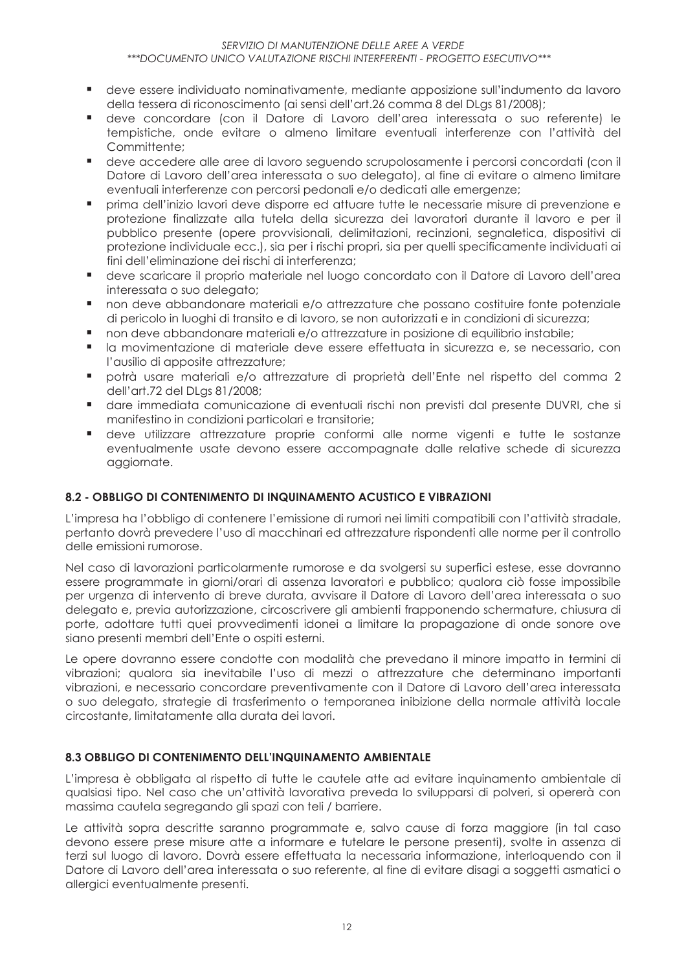- deve essere individuato nominativamente, mediante apposizione sull'indumento da lavoro della tessera di riconoscimento (ai sensi dell'art.26 comma 8 del DLas 81/2008);
- deve concordare (con il Datore di Lavoro dell'area interessata o suo referente) le  $\mathbf{r}$ tempistiche, onde evitare o almeno limitare eventuali interferenze con l'attività del Committente:
- $\mathbf{r}$ deve accedere alle aree di lavoro sequendo scrupolosamente i percorsi concordati (con il Datore di Lavoro dell'area interessata o suo delegato), al fine di evitare o almeno limitare eventuali interferenze con percorsi pedonali e/o dedicati alle emergenze;
- prima dell'inizio lavori deve disporre ed attuare tutte le necessarie misure di prevenzione e protezione finalizzate alla tutela della sicurezza dei lavoratori durante il lavoro e per il pubblico presente (opere provvisionali, delimitazioni, recinzioni, segnaletica, dispositivi di protezione individuale ecc.), sia per i rischi propri, sia per quelli specificamente individuati gi fini dell'eliminazione dei rischi di interferenza:
- deve scaricare il proprio materiale nel luogo concordato con il Datore di Lavoro dell'area  $\blacksquare$ interessata o suo delegato;
- non deve abbandonare materiali e/o attrezzature che possano costituire fonte potenziale п. di pericolo in luoghi di transito e di lavoro, se non autorizzati e in condizioni di sicurezza;
- $\blacksquare$ non deve abbandonare materiali e/o attrezzature in posizione di equilibrio instabile;
- la movimentazione di materiale deve essere effettuata in sicurezza e, se necessario, con l'ausilio di apposite attrezzature:
- potrà usare materiali e/o attrezzature di proprietà dell'Ente nel rispetto del comma 2 dell'art.72 del DLgs 81/2008;
- dare immediata comunicazione di eventuali rischi non previsti dal presente DUVRI, che si manifestino in condizioni particolari e transitorie;
- deve utilizzare attrezzature proprie conformi alle norme vigenti e tutte le sostanze eventualmente usate devono essere accompagnate dalle relative schede di sicurezza aggiornate.

### 8.2 - OBBLIGO DI CONTENIMENTO DI INQUINAMENTO ACUSTICO E VIBRAZIONI

L'impresa ha l'obbligo di contenere l'emissione di rumori nei limiti compatibili con l'attività stradale, pertanto dovrà prevedere l'uso di macchinari ed attrezzature rispondenti alle norme per il controllo delle emissioni rumorose.

Nel caso di lavorazioni particolarmente rumorose e da svolgersi su superfici estese, esse dovranno essere programmate in giorni/orari di assenza lavoratori e pubblico; qualora ciò fosse impossibile per urgenza di intervento di breve durata, avvisare il Datore di Lavoro dell'area interessata o suo delegato e, previa autorizzazione, circoscrivere gli ambienti frapponendo schermature, chiusura di porte, adottare tutti quei provvedimenti idonei a limitare la propagazione di onde sonore ove siano presenti membri dell'Ente o ospiti esterni.

Le opere dovranno essere condotte con modalità che prevedano il minore impatto in termini di vibrazioni; qualora sia inevitabile l'uso di mezzi o attrezzature che determinano importanti vibrazioni, e necessario concordare preventivamente con il Datore di Lavoro dell'area interessata o suo delegato, strategie di trasferimento o temporanea inibizione della normale attività locale circostante, limitatamente alla durata dei lavori.

#### 8.3 OBBLIGO DI CONTENIMENTO DELL'INQUINAMENTO AMBIENTALE

L'impresa è obbligata al rispetto di tutte le cautele atte ad evitare inquinamento ambientale di qualsiasi tipo. Nel caso che un'attività lavorativa preveda lo svilupparsi di polveri, si opererà con massima cautela segregando gli spazi con teli / barriere.

Le attività sopra descritte saranno programmate e, salvo cause di forza maggiore (in tal caso devono essere prese misure atte a informare e tutelare le persone presenti), svolte in assenza di terzi sul luogo di lavoro. Dovrà essere effettuata la necessaria informazione, interloquendo con il Datore di Lavoro dell'area interessata o suo referente, al fine di evitare disagi a soggetti asmatici o allergici eventualmente presenti.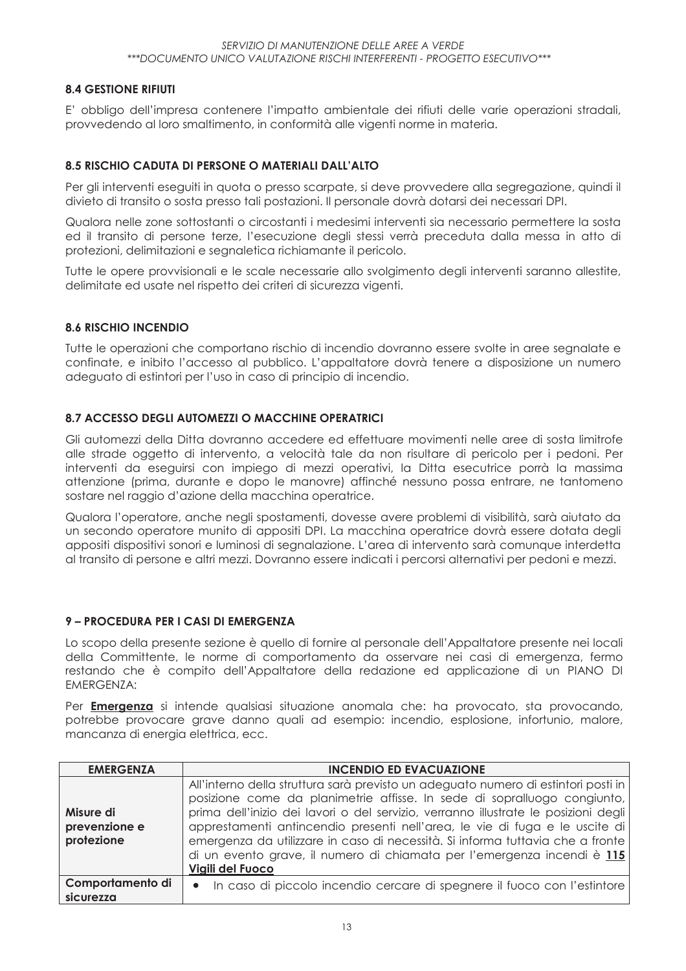#### **8.4 GESTIONE RIFIUTI**

E' obbligo dell'impresa contenere l'impatto ambientale dei rifiuti delle varie operazioni stradali, provvedendo al loro smaltimento, in conformità alle vigenti norme in materia.

#### 8.5 RISCHIO CADUTA DI PERSONE O MATERIALI DALL'ALTO

Per gli interventi esequiti in quota o presso scarpate, si deve provvedere alla segregazione, quindi il divieto di transito o sosta presso tali postazioni. Il personale dovrà dotarsi dei necessari DPI.

Qualora nelle zone sottostanti o circostanti i medesimi interventi sia necessario permettere la sosta ed il transito di persone terze, l'esecuzione degli stessi verrà preceduta dalla messa in atto di protezioni, delimitazioni e segnaletica richiamante il pericolo.

Tutte le opere provvisionali e le scale necessarie allo svolgimento degli interventi saranno allestite, delimitate ed usate nel rispetto dei criteri di sicurezza vigenti.

#### **8.6 RISCHIO INCENDIO**

Tutte le operazioni che comportano rischio di incendio dovranno essere svolte in aree segnalate e confinate, e inibito l'accesso al pubblico. L'appaltatore dovrà tenere a disposizione un numero adequato di estintori per l'uso in caso di principio di incendio.

#### 8.7 ACCESSO DEGLI AUTOMEZZI O MACCHINE OPERATRICI

Gli automezzi della Ditta dovranno accedere ed effettuare movimenti nelle aree di sosta limitrofe alle strade oggetto di intervento, a velocità tale da non risultare di pericolo per i pedoni. Per interventi da eseguirsi con impiego di mezzi operativi, la Ditta esecutrice porrà la massima attenzione (prima, durante e dopo le manovre) affinché nessuno possa entrare, ne tantomeno sostare nel raggio d'azione della macchina operatrice.

Qualora l'operatore, anche negli spostamenti, dovesse avere problemi di visibilità, sarà aiutato da un secondo operatore munito di appositi DPI. La macchina operatrice dovrà essere dotata degli appositi dispositivi sonori e luminosi di segnalazione. L'area di intervento sarà comunque interdetta al transito di persone e altri mezzi. Dovranno essere indicati i percorsi alternativi per pedoni e mezzi.

#### 9 – PROCEDURA PER I CASI DI EMERGENZA

Lo scopo della presente sezione è quello di fornire al personale dell'Appaltatore presente nei locali della Committente, le norme di comportamento da osservare nei casi di emergenza, fermo restando che è compito dell'Appaltatore della redazione ed applicazione di un PIANO DI **EMERGENZA:** 

Per **Emergenza** si intende qualsiasi situazione anomala che: ha provocato, sta provocando, potrebbe provocare grave danno quali ad esempio: incendio, esplosione, infortunio, malore, mancanza di energia elettrica, ecc.

| <b>EMERGENZA</b>                         | <b>INCENDIO ED EVACUAZIONE</b>                                                                                                                                                                                                                                                                                                                                                                                                                                                                                        |
|------------------------------------------|-----------------------------------------------------------------------------------------------------------------------------------------------------------------------------------------------------------------------------------------------------------------------------------------------------------------------------------------------------------------------------------------------------------------------------------------------------------------------------------------------------------------------|
| Misure di<br>prevenzione e<br>protezione | All'interno della struttura sarà previsto un adeguato numero di estintori posti in<br>posizione come da planimetrie affisse. In sede di sopralluogo congiunto,<br>prima dell'inizio dei lavori o del servizio, verranno illustrate le posizioni degli<br>apprestamenti antincendio presenti nell'area, le vie di fuga e le uscite di<br>emergenza da utilizzare in caso di necessità. Si informa tuttavia che a fronte<br>di un evento grave, il numero di chiamata per l'emergenza incendi è 115<br>Vigili del Fuoco |
| Comportamento di<br>sicurezza            | · In caso di piccolo incendio cercare di spegnere il fuoco con l'estintore                                                                                                                                                                                                                                                                                                                                                                                                                                            |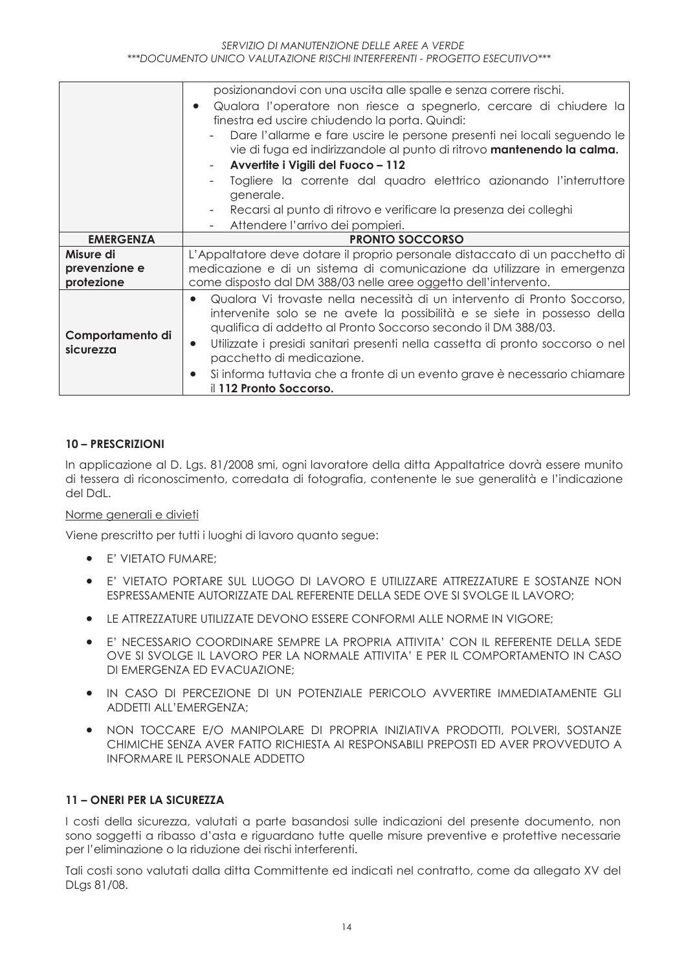|                               | posizionandovi con una uscita alle spalle e senza correre rischi.                                                                                                                                                                  |  |  |  |
|-------------------------------|------------------------------------------------------------------------------------------------------------------------------------------------------------------------------------------------------------------------------------|--|--|--|
|                               | Qualora l'operatore non riesce a spegnerlo, cercare di chiudere la                                                                                                                                                                 |  |  |  |
|                               | finestra ed uscire chiudendo la porta. Quindi:                                                                                                                                                                                     |  |  |  |
|                               | Dare l'allarme e fare uscire le persone presenti nei locali seguendo le                                                                                                                                                            |  |  |  |
|                               | vie di fuga ed indirizzandole al punto di ritrovo mantenendo la calma.                                                                                                                                                             |  |  |  |
|                               | Avvertite i Vigili del Fuoco - 112                                                                                                                                                                                                 |  |  |  |
|                               | Togliere la corrente dal quadro elettrico azionando l'interruttore                                                                                                                                                                 |  |  |  |
|                               | generale.                                                                                                                                                                                                                          |  |  |  |
|                               | Recarsi al punto di ritrovo e verificare la presenza dei colleghi                                                                                                                                                                  |  |  |  |
|                               | Attendere l'arrivo dei pompieri.                                                                                                                                                                                                   |  |  |  |
| <b>EMERGENZA</b>              | <b>PRONTO SOCCORSO</b>                                                                                                                                                                                                             |  |  |  |
| Misure di                     | L'Appaltatore deve dotare il proprio personale distaccato di un pacchetto di                                                                                                                                                       |  |  |  |
| prevenzione e                 | medicazione e di un sistema di comunicazione da utilizzare in emergenza                                                                                                                                                            |  |  |  |
| protezione                    | come disposto dal DM 388/03 nelle aree oggetto dell'intervento.                                                                                                                                                                    |  |  |  |
|                               | Qualora Vi trovaste nella necessità di un intervento di Pronto Soccorso,<br>$\bullet$<br>intervenite solo se ne avete la possibilità e se siete in possesso della<br>qualifica di addetto al Pronto Soccorso secondo il DM 388/03. |  |  |  |
| Comportamento di<br>sicurezza | Utilizzate i presidi sanitari presenti nella cassetta di pronto soccorso o nel<br>$\bullet$<br>pacchetto di medicazione.                                                                                                           |  |  |  |
|                               | Si informa tuttavia che a fronte di un evento grave è necessario chiamare<br>$\bullet$<br>il 112 Pronto Soccorso.                                                                                                                  |  |  |  |

#### **10-PRESCRIZIONI**

In applicazione al D. Lgs. 81/2008 smi, ogni lavoratore della ditta Appaltatrice dovrà essere munito di tessera di riconoscimento, corredata di fotografia, contenente le sue generalità e l'indicazione del Ddl

#### Norme generali e divieti

Viene prescritto per tutti i luoghi di lavoro quanto segue:

- E' VIETATO FUMARE;
- E' VIETATO PORTARE SUL LUOGO DI LAVORO E UTILIZZARE ATTREZZATURE E SOSTANZE NON ESPRESSAMENTE AUTORIZZATE DAL REFERENTE DELLA SEDE OVE SI SVOLGE IL LAVORO;
- LE ATTREZZATURE UTILIZZATE DEVONO ESSERE CONFORMI ALLE NORME IN VIGORE;  $\bullet$
- E' NECESSARIO COORDINARE SEMPRE LA PROPRIA ATTIVITA' CON II REFERENTE DELLA SEDE  $\bullet$ OVE SI SVOLGE IL LAVORO PER LA NORMALE ATTIVITA' E PER IL COMPORTAMENTO IN CASO DI EMERGENZA ED EVACUAZIONE:
- IN CASO DI PERCEZIONE DI UN POTENZIALE PERICOLO AVVERTIRE IMMEDIATAMENTE GLI  $\bullet$ ADDETTI ALL'EMERGENZA;
- . NON TOCCARE E/O MANIPOLARE DI PROPRIA INIZIATIVA PRODOTTI, POLVERI, SOSTANZE CHIMICHE SENZA AVER FATTO RICHIESTA AI RESPONSABILI PREPOSTI ED AVER PROVVEDUTO A INFORMARE II PERSONALE ADDETTO

#### 11 - ONERI PER LA SICUREZZA

I costi della sicurezza, valutati a parte basandosi sulle indicazioni del presente documento, non sono soggetti a ribasso d'asta e riguardano tutte quelle misure preventive e protettive necessarie per l'eliminazione o la riduzione dei rischi interferenti.

Tali costi sono valutati dalla ditta Committente ed indicati nel contratto, come da allegato XV del DLgs 81/08.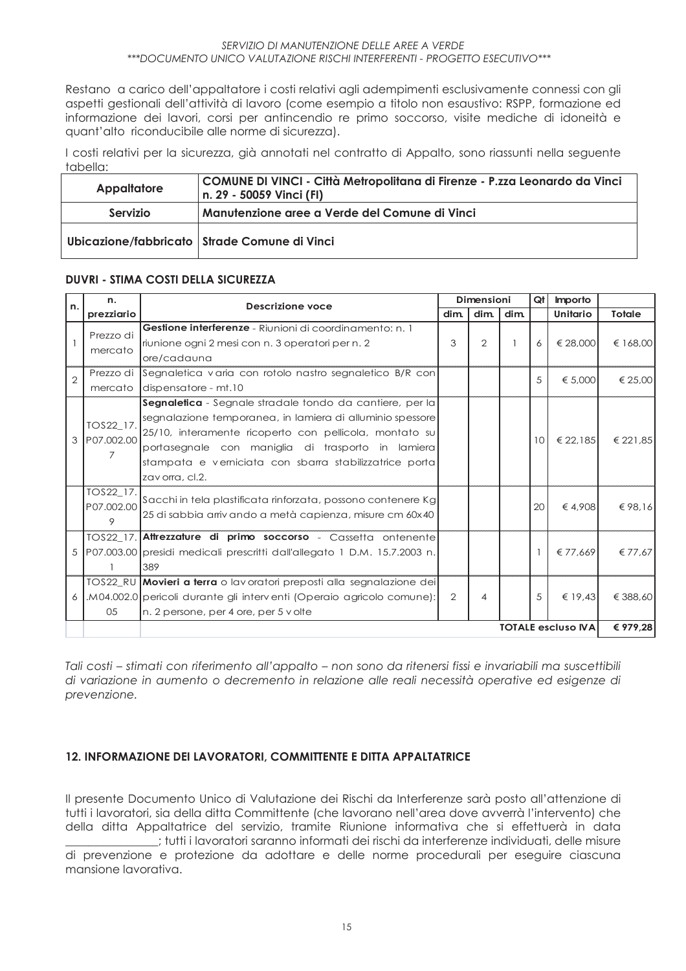Restano a carico dell'appaltatore i costi relativi agli adempimenti esclusivamente connessi con gli aspetti gestionali dell'attività di lavoro (come esempio a titolo non esaustivo: RSPP, formazione ed informazione dei lavori, corsi per antincendio re primo soccorso, visite mediche di idoneità e quant'alto riconducibile alle norme di sicurezza).

I costi relativi per la sicurezza, già annotati nel contratto di Appalto, sono riassunti nella seguente tabella:

| Appaltatore | COMUNE DI VINCI - Città Metropolitana di Firenze - P.zza Leonardo da Vinci<br>n. 29 - 50059 Vinci (FI) |
|-------------|--------------------------------------------------------------------------------------------------------|
| Servizio    | Manutenzione aree a Verde del Comune di Vinci                                                          |
|             | Ubicazione/fabbricato   Strade Comune di Vinci                                                         |

#### **DUVRI - STIMA COSTI DELLA SICUREZZA**

| n.             | n.                        | <b>Descrizione voce</b>                                                    | Dimensioni     |                |      | Qt              | <b>Importo</b> |               |  |  |
|----------------|---------------------------|----------------------------------------------------------------------------|----------------|----------------|------|-----------------|----------------|---------------|--|--|
|                | prezziario                |                                                                            | dim.           | dim.           | dim. |                 | Unitario       | <b>Totale</b> |  |  |
|                | Prezzo di                 | Gestione interferenze - Riunioni di coordinamento: n. 1                    |                |                |      |                 |                |               |  |  |
|                |                           | riunione ogni 2 mesi con n. 3 operatori per n. 2                           | 3              | 2              |      | 6               | € 28.000       | € 168,00      |  |  |
|                | mercato                   | ore/cadauna                                                                |                |                |      |                 |                |               |  |  |
| $\overline{2}$ |                           | Prezzo di Segnaletica varia con rotolo nastro segnaletico B/R con          |                |                |      | 5               | € 5.000        | € 25,00       |  |  |
|                | mercato                   | dispensatore - mt.10                                                       |                |                |      |                 |                |               |  |  |
|                |                           | Segnaletica - Segnale stradale tondo da cantiere, per la                   |                |                |      |                 |                |               |  |  |
|                | TOS22_17.                 | segnalazione temporanea, in lamiera di alluminio spessore                  |                |                |      |                 |                |               |  |  |
|                | 3 P07,002.00              | 25/10, interamente ricoperto con pellicola, montato su                     |                |                |      | 10 <sup>1</sup> | € 22.185       | € 221.85      |  |  |
|                |                           | portasegnale con maniglia di trasporto in lamiera                          |                |                |      |                 |                |               |  |  |
|                | 7                         | stampata e verniciata con sbarra stabilizzatrice porta                     |                |                |      |                 |                |               |  |  |
|                |                           | zavorra, cl.2.                                                             |                |                |      |                 |                |               |  |  |
|                | TOS22_17.                 | Sacchi in tela plastificata rinforzata, possono contenere Kg               |                |                |      |                 |                |               |  |  |
|                | P07.002.00                | 25 di sabbia arrivando a metà capienza, misure cm 60x40                    |                |                |      | 20              | €4.908         | €98.16        |  |  |
|                | 9                         |                                                                            |                |                |      |                 |                |               |  |  |
|                |                           | TOS22_17. Attrezzature di primo soccorso - Cassetta ontenente              |                |                |      |                 |                |               |  |  |
|                |                           | 5 P07.003.00 presidi medicali prescritti dall'allegato 1 D.M. 15.7.2003 n. |                |                |      |                 | € 77.669       | € 77,67       |  |  |
|                |                           | 389                                                                        |                |                |      |                 |                |               |  |  |
|                |                           | TOS22_RU Movieri a terra o lavoratori preposti alla segnalazione dei       |                |                |      |                 |                |               |  |  |
|                |                           | M04.002.0 pericoli durante gli interventi (Operaio agricolo comune):       | $\overline{2}$ | $\overline{4}$ |      | 5               | € 19.43        | € 388,60      |  |  |
|                | 05                        | n. 2 persone, per 4 ore, per 5 v olte                                      |                |                |      |                 |                |               |  |  |
|                | <b>TOTALE escluso IVA</b> |                                                                            |                | € 979,28       |      |                 |                |               |  |  |

Tali costi – stimati con riferimento all'appalto – non sono da ritenersi fissi e invariabili ma suscettibili di variazione in aumento o decremento in relazione alle reali necessità operative ed esigenze di prevenzione.

#### 12. INFORMAZIONE DEI LAVORATORI, COMMITTENTE E DITTA APPALTATRICE

Il presente Documento Unico di Valutazione dei Rischi da Interferenze sarà posto all'attenzione di tutti i lavoratori, sia della ditta Committente (che lavorano nell'area dove avverrà l'intervento) che della ditta Appaltatrice del servizio, tramite Riunione informativa che si effettuerà in data tutti i lavoratori saranno informati dei rischi da interferenze individuati, delle misure di prevenzione e protezione da adottare e delle norme procedurali per eseguire ciascuna mansione Iavorativa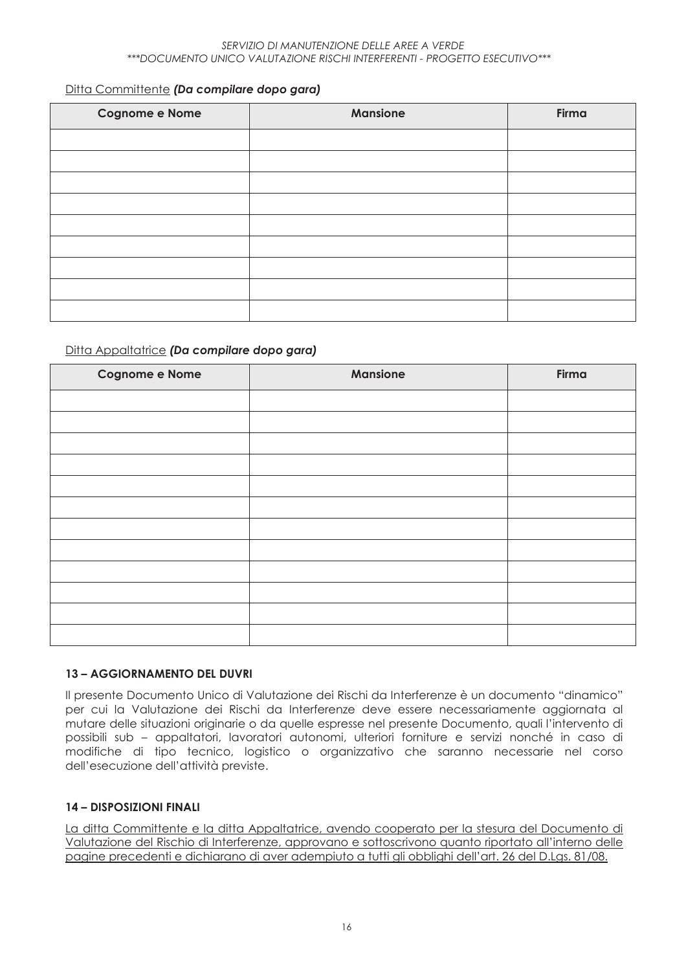#### Ditta Committente (Da compilare dopo gara)

| <b>Cognome e Nome</b> | <b>Mansione</b> | Firma |
|-----------------------|-----------------|-------|
|                       |                 |       |
|                       |                 |       |
|                       |                 |       |
|                       |                 |       |
|                       |                 |       |
|                       |                 |       |
|                       |                 |       |
|                       |                 |       |
|                       |                 |       |

#### Ditta Appaltatrice (Da compilare dopo gara)

| <b>Cognome e Nome</b> | <b>Mansione</b> | Firma |
|-----------------------|-----------------|-------|
|                       |                 |       |
|                       |                 |       |
|                       |                 |       |
|                       |                 |       |
|                       |                 |       |
|                       |                 |       |
|                       |                 |       |
|                       |                 |       |
|                       |                 |       |
|                       |                 |       |
|                       |                 |       |
|                       |                 |       |

#### **13 - AGGIORNAMENTO DEL DUVRI**

Il presente Documento Unico di Valutazione dei Rischi da Interferenze è un documento "dinamico" per cui la Valutazione dei Rischi da Interferenze deve essere necessariamente aggiornata al mutare delle situazioni originarie o da quelle espresse nel presente Documento, quali l'intervento di possibili sub - appaltatori, lavoratori autonomi, ulteriori forniture e servizi nonché in caso di modifiche di tipo tecnico, logistico o organizzativo che saranno necessarie nel corso dell'esecuzione dell'attività previste.

#### **14 - DISPOSIZIONI FINALI**

La ditta Committente e la ditta Appaltatrice, avendo cooperato per la stesura del Documento di Valutazione del Rischio di Interferenze, approvano e sottoscrivono quanto riportato all'interno delle pagine precedenti e dichiarano di aver adempiuto a tutti gli obblighi dell'art. 26 del D.Lgs. 81/08.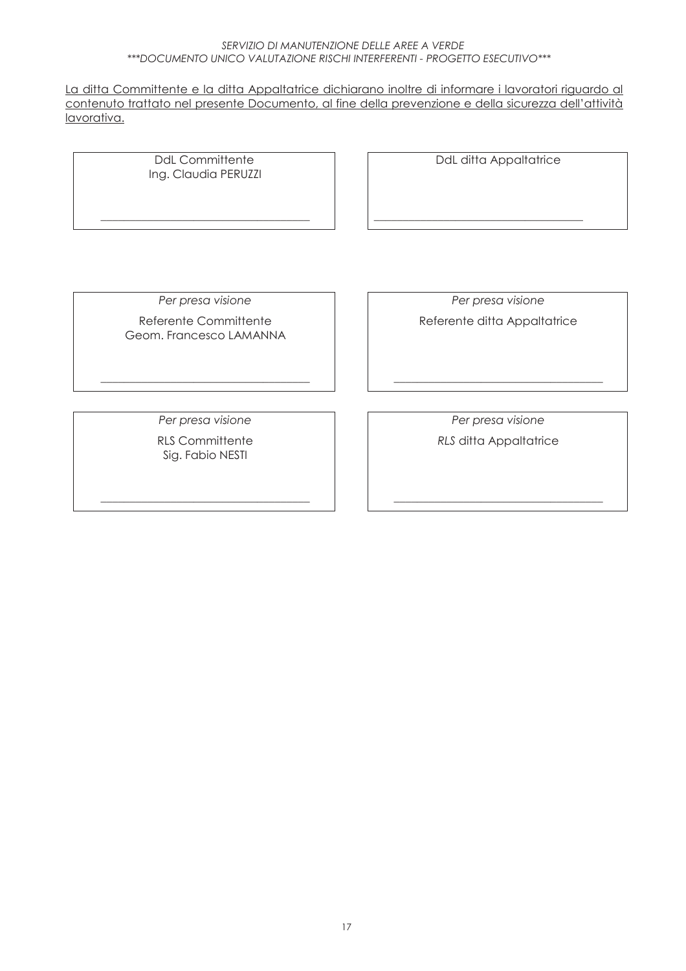<u>La ditta Committente e la ditta Appaltatrice dichiarano inoltre di informare i lavoratori riguardo al</u> <u>contenuto trattato nel presente Documento, al fine della prevenzione e della sicurezza dell'attività</u> <u>lavorativa.</u>

> DdL Committente Ing. Claudia PERUZZI

**JJJJJJJJJJJJJJJJJJJJJJJJJJJJJJJJJJJJ**

**Example 1** DdL ditta Appaltatrice

**JJJJJJJJJJJJJJJJJJJJJJJJJJJJJJJJJJJJ**

Per presa visione Referente Committente Geom. Francesco LAMANNA

Per presa visione Referente ditta Appaltatrice

Per presa visione

**JJJJJJJJJJJJJJJJJJJJJJJJJJJJJJJJJJJJ**

RLS Committente Sig. Fabio NESTI

**JJJJJJJJJJJJJJJJJJJJJJJJJJJJJJJJJJJJ**

Per presa visione *RLS* ditta Appaltatrice

**JJJJJJJJJJJJJJJJJJJJJJJJJJJJJJJJJJJJ**

**JJJJJJJJJJJJJJJJJJJJJJJJJJJJJJJJJJJJ**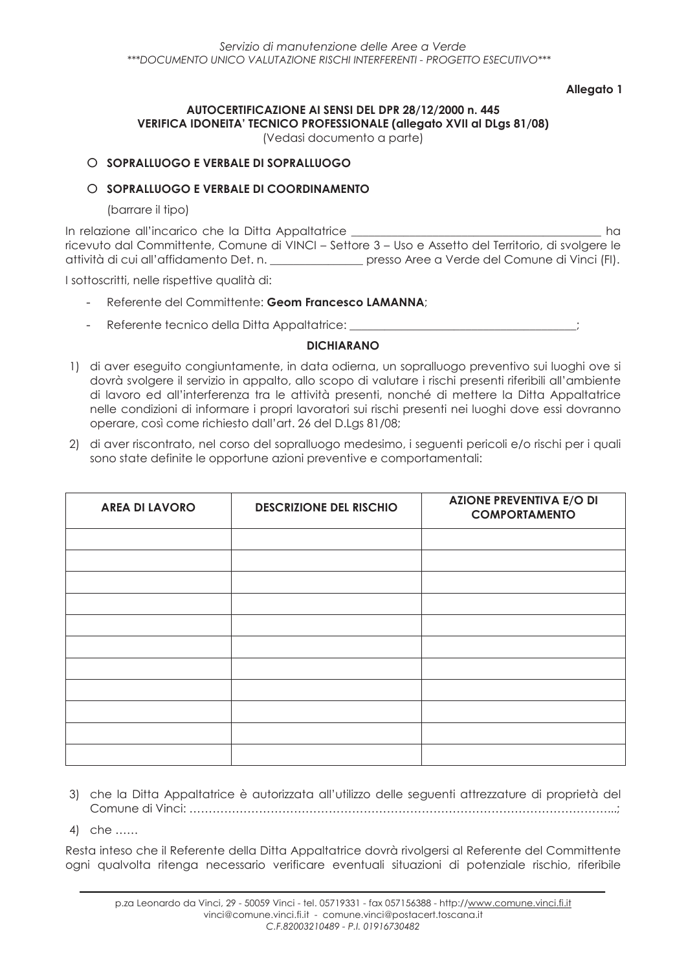#### Allegato 1

# AUTOCERTIFICAZIONE AI SENSI DEL DPR 28/12/2000 n. 445 **VERIFICA IDONEITA' TECNICO PROFESSIONALE (allegato XVII al DLgs 81/08)**

(Vedasi documento a parte)

#### O SOPRALLUOGO E VERBALE DI SOPRALLUOGO

#### O SOPRAILIJOGO E VERRAJE DI COORDINAMENTO

(barrare il tipo)

In relazione all'incarico che la Ditta Appaltatrice  $h\alpha$ ricevuto dal Committente, Comune di VINCI - Settore 3 - Uso e Assetto del Territorio, di svolgere le attività di cui all'affidamento Det. n. \_\_\_\_\_\_\_\_\_\_\_\_\_\_\_\_ presso Aree a Verde del Comune di Vinci (FI).

I sottoscritti, nelle rispettive qualità di:

- Referente del Committente: Geom Francesco LAMANNA;
- Referente tecnico della Ditta Appaltatrice:

#### **DICHIARANO**

- 1) di aver eseguito congiuntamente, in data odierna, un sopralluogo preventivo sui luoghi ove si dovrà svolgere il servizio in appalto, allo scopo di valutare i rischi presenti riferibili all'ambiente di lavoro ed all'interferenza tra le attività presenti, nonché di mettere la Ditta Appaltatrice nelle condizioni di informare i propri lavoratori sui rischi presenti nei luoghi dove essi dovranno operare, così come richiesto dall'art. 26 del D.Las 81/08:
- 2) di aver riscontrato, nel corso del sopralluogo medesimo, i seguenti pericoli e/o rischi per i quali sono state definite le opportune azioni preventive e comportamentali:

| <b>AREA DI LAVORO</b> | <b>DESCRIZIONE DEL RISCHIO</b> | <b>AZIONE PREVENTIVA E/O DI</b><br><b>COMPORTAMENTO</b> |
|-----------------------|--------------------------------|---------------------------------------------------------|
|                       |                                |                                                         |
|                       |                                |                                                         |
|                       |                                |                                                         |
|                       |                                |                                                         |
|                       |                                |                                                         |
|                       |                                |                                                         |
|                       |                                |                                                         |
|                       |                                |                                                         |
|                       |                                |                                                         |
|                       |                                |                                                         |
|                       |                                |                                                         |

- 3) che la Ditta Appaltatrice è autorizzata all'utilizzo delle sequenti attrezzature di proprietà del
- 4) che ......

Resta inteso che il Referente della Ditta Appaltatrice dovrà rivolgersi al Referente del Committente ogni qualvolta ritenga necessario verificare eventuali situazioni di potenziale rischio, riferibile